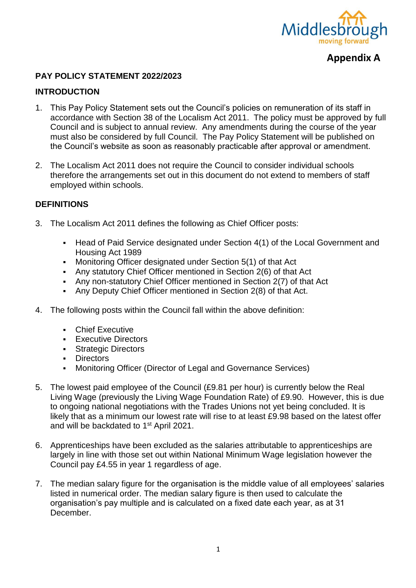

## **Appendix A**

#### **PAY POLICY STATEMENT 2022/2023**

#### **INTRODUCTION**

- 1. This Pay Policy Statement sets out the Council's policies on remuneration of its staff in accordance with Section 38 of the Localism Act 2011. The policy must be approved by full Council and is subject to annual review. Any amendments during the course of the year must also be considered by full Council. The Pay Policy Statement will be published on the Council's website as soon as reasonably practicable after approval or amendment.
- 2. The Localism Act 2011 does not require the Council to consider individual schools therefore the arrangements set out in this document do not extend to members of staff employed within schools.

#### **DEFINITIONS**

- 3. The Localism Act 2011 defines the following as Chief Officer posts:
	- Head of Paid Service designated under Section 4(1) of the Local Government and Housing Act 1989
	- Monitoring Officer designated under Section 5(1) of that Act
	- Any statutory Chief Officer mentioned in Section 2(6) of that Act
	- Any non-statutory Chief Officer mentioned in Section 2(7) of that Act
	- Any Deputy Chief Officer mentioned in Section 2(8) of that Act.
- 4. The following posts within the Council fall within the above definition:
	- **Chief Executive**
	- **Executive Directors**
	- **Strategic Directors**
	- **Directors**
	- Monitoring Officer (Director of Legal and Governance Services)
- 5. The lowest paid employee of the Council (£9.81 per hour) is currently below the Real Living Wage (previously the Living Wage Foundation Rate) of £9.90. However, this is due to ongoing national negotiations with the Trades Unions not yet being concluded. It is likely that as a minimum our lowest rate will rise to at least £9.98 based on the latest offer and will be backdated to 1<sup>st</sup> April 2021.
- 6. Apprenticeships have been excluded as the salaries attributable to apprenticeships are largely in line with those set out within National Minimum Wage legislation however the Council pay £4.55 in year 1 regardless of age.
- 7. The median salary figure for the organisation is the middle value of all employees' salaries listed in numerical order. The median salary figure is then used to calculate the organisation's pay multiple and is calculated on a fixed date each year, as at 31 December.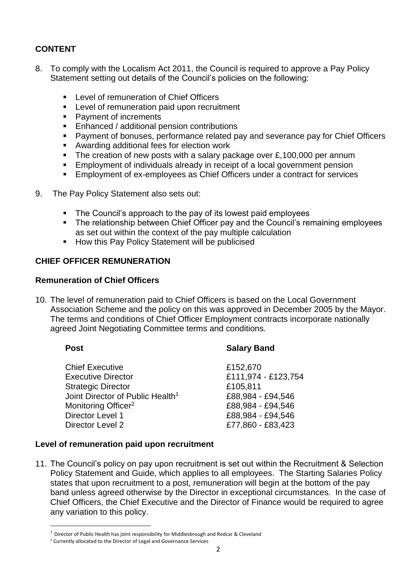### **CONTENT**

- 8. To comply with the Localism Act 2011, the Council is required to approve a Pay Policy Statement setting out details of the Council's policies on the following:
	- **Level of remuneration of Chief Officers**
	- **EXECTE:** Level of remuneration paid upon recruitment
	- Payment of increments
	- **Enhanced / additional pension contributions**
	- Payment of bonuses, performance related pay and severance pay for Chief Officers
	- Awarding additional fees for election work
	- The creation of new posts with a salary package over  $£,100,000$  per annum
	- **Employment of individuals already in receipt of a local government pension**
	- Employment of ex-employees as Chief Officers under a contract for services
- 9. The Pay Policy Statement also sets out:
	- The Council's approach to the pay of its lowest paid employees
	- The relationship between Chief Officer pay and the Council's remaining employees as set out within the context of the pay multiple calculation
	- **How this Pay Policy Statement will be publicised**

#### **CHIEF OFFICER REMUNERATION**

#### **Remuneration of Chief Officers**

10. The level of remuneration paid to Chief Officers is based on the Local Government Association Scheme and the policy on this was approved in December 2005 by the Mayor. The terms and conditions of Chief Officer Employment contracts incorporate nationally agreed Joint Negotiating Committee terms and conditions.

**.** 

#### **Post Salary Band**

| <b>Chief Executive</b>                       | £152,670            |
|----------------------------------------------|---------------------|
| <b>Executive Director</b>                    | £111,974 - £123,754 |
| <b>Strategic Director</b>                    | £105,811            |
| Joint Director of Public Health <sup>1</sup> | £88,984 - £94,546   |
| Monitoring Officer <sup>2</sup>              | £88,984 - £94,546   |
| Director Level 1                             | £88,984 - £94,546   |
| Director Level 2                             | £77,860 - £83,423   |
|                                              |                     |

#### **Level of remuneration paid upon recruitment**

11. The Council's policy on pay upon recruitment is set out within the Recruitment & Selection Policy Statement and Guide, which applies to all employees. The Starting Salaries Policy states that upon recruitment to a post, remuneration will begin at the bottom of the pay band unless agreed otherwise by the Director in exceptional circumstances. In the case of Chief Officers, the Chief Executive and the Director of Finance would be required to agree any variation to this policy.

 $1$  Director of Public Health has joint responsibility for Middlesbrough and Redcar & Cleveland

<sup>2</sup> Currently allocated to the Director of Legal and Governance Services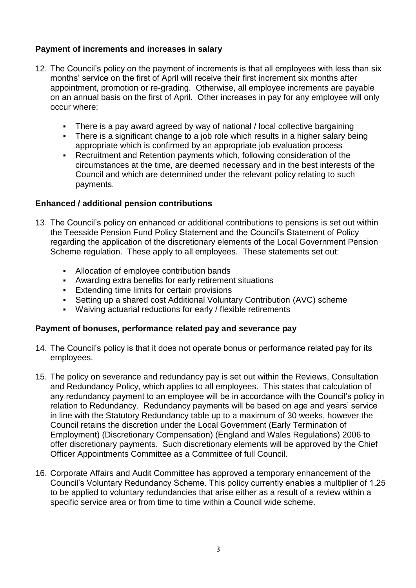#### **Payment of increments and increases in salary**

- 12. The Council's policy on the payment of increments is that all employees with less than six months' service on the first of April will receive their first increment six months after appointment, promotion or re-grading. Otherwise, all employee increments are payable on an annual basis on the first of April. Other increases in pay for any employee will only occur where:
	- There is a pay award agreed by way of national / local collective bargaining
	- There is a significant change to a job role which results in a higher salary being appropriate which is confirmed by an appropriate job evaluation process
	- Recruitment and Retention payments which, following consideration of the circumstances at the time, are deemed necessary and in the best interests of the Council and which are determined under the relevant policy relating to such payments.

#### **Enhanced / additional pension contributions**

- 13. The Council's policy on enhanced or additional contributions to pensions is set out within the Teesside Pension Fund Policy Statement and the Council's Statement of Policy regarding the application of the discretionary elements of the Local Government Pension Scheme regulation. These apply to all employees. These statements set out:
	- Allocation of employee contribution bands
	- Awarding extra benefits for early retirement situations
	- **Extending time limits for certain provisions**
	- Setting up a shared cost Additional Voluntary Contribution (AVC) scheme
	- Waiving actuarial reductions for early / flexible retirements

#### **Payment of bonuses, performance related pay and severance pay**

- 14. The Council's policy is that it does not operate bonus or performance related pay for its employees.
- 15. The policy on severance and redundancy pay is set out within the Reviews, Consultation and Redundancy Policy, which applies to all employees. This states that calculation of any redundancy payment to an employee will be in accordance with the Council's policy in relation to Redundancy. Redundancy payments will be based on age and years' service in line with the Statutory Redundancy table up to a maximum of 30 weeks, however the Council retains the discretion under the Local Government (Early Termination of Employment) (Discretionary Compensation) (England and Wales Regulations) 2006 to offer discretionary payments. Such discretionary elements will be approved by the Chief Officer Appointments Committee as a Committee of full Council.
- 16. Corporate Affairs and Audit Committee has approved a temporary enhancement of the Council's Voluntary Redundancy Scheme. This policy currently enables a multiplier of 1.25 to be applied to voluntary redundancies that arise either as a result of a review within a specific service area or from time to time within a Council wide scheme.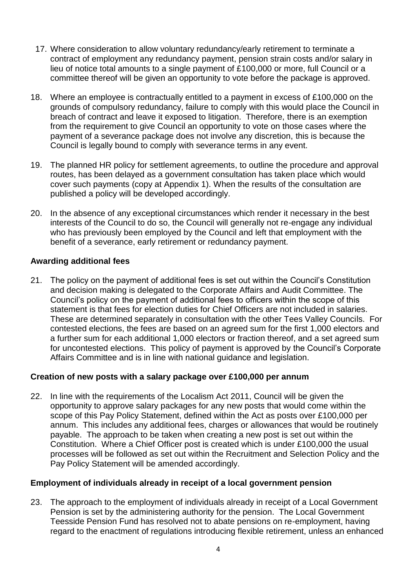- 17. Where consideration to allow voluntary redundancy/early retirement to terminate a contract of employment any redundancy payment, pension strain costs and/or salary in lieu of notice total amounts to a single payment of £100,000 or more, full Council or a committee thereof will be given an opportunity to vote before the package is approved.
- 18. Where an employee is contractually entitled to a payment in excess of £100,000 on the grounds of compulsory redundancy, failure to comply with this would place the Council in breach of contract and leave it exposed to litigation. Therefore, there is an exemption from the requirement to give Council an opportunity to vote on those cases where the payment of a severance package does not involve any discretion, this is because the Council is legally bound to comply with severance terms in any event.
- 19. The planned HR policy for settlement agreements, to outline the procedure and approval routes, has been delayed as a government consultation has taken place which would cover such payments (copy at Appendix 1). When the results of the consultation are published a policy will be developed accordingly.
- 20. In the absence of any exceptional circumstances which render it necessary in the best interests of the Council to do so, the Council will generally not re-engage any individual who has previously been employed by the Council and left that employment with the benefit of a severance, early retirement or redundancy payment.

#### **Awarding additional fees**

21. The policy on the payment of additional fees is set out within the Council's Constitution and decision making is delegated to the Corporate Affairs and Audit Committee. The Council's policy on the payment of additional fees to officers within the scope of this statement is that fees for election duties for Chief Officers are not included in salaries. These are determined separately in consultation with the other Tees Valley Councils. For contested elections, the fees are based on an agreed sum for the first 1,000 electors and a further sum for each additional 1,000 electors or fraction thereof, and a set agreed sum for uncontested elections. This policy of payment is approved by the Council's Corporate Affairs Committee and is in line with national guidance and legislation.

#### **Creation of new posts with a salary package over £100,000 per annum**

22. In line with the requirements of the Localism Act 2011, Council will be given the opportunity to approve salary packages for any new posts that would come within the scope of this Pay Policy Statement, defined within the Act as posts over £100,000 per annum. This includes any additional fees, charges or allowances that would be routinely payable. The approach to be taken when creating a new post is set out within the Constitution. Where a Chief Officer post is created which is under £100,000 the usual processes will be followed as set out within the Recruitment and Selection Policy and the Pay Policy Statement will be amended accordingly.

#### **Employment of individuals already in receipt of a local government pension**

23. The approach to the employment of individuals already in receipt of a Local Government Pension is set by the administering authority for the pension. The Local Government Teesside Pension Fund has resolved not to abate pensions on re-employment, having regard to the enactment of regulations introducing flexible retirement, unless an enhanced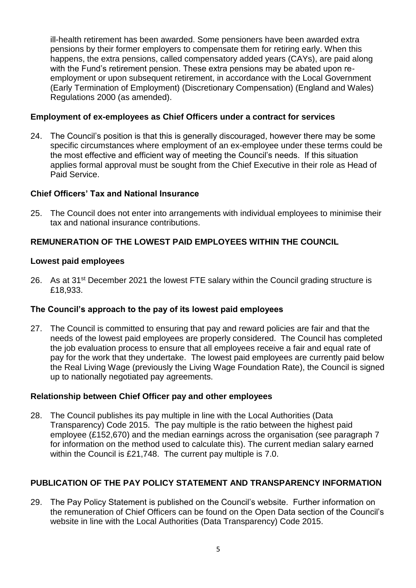ill-health retirement has been awarded. Some pensioners have been awarded extra pensions by their former employers to compensate them for retiring early. When this happens, the extra pensions, called compensatory added years (CAYs), are paid along with the Fund's retirement pension. These extra pensions may be abated upon reemployment or upon subsequent retirement, in accordance with the Local Government (Early Termination of Employment) (Discretionary Compensation) (England and Wales) Regulations 2000 (as amended).

#### **Employment of ex-employees as Chief Officers under a contract for services**

24. The Council's position is that this is generally discouraged, however there may be some specific circumstances where employment of an ex-employee under these terms could be the most effective and efficient way of meeting the Council's needs. If this situation applies formal approval must be sought from the Chief Executive in their role as Head of Paid Service.

#### **Chief Officers' Tax and National Insurance**

25. The Council does not enter into arrangements with individual employees to minimise their tax and national insurance contributions.

### **REMUNERATION OF THE LOWEST PAID EMPLOYEES WITHIN THE COUNCIL**

#### **Lowest paid employees**

26. As at 31<sup>st</sup> December 2021 the lowest FTE salary within the Council grading structure is £18,933.

#### **The Council's approach to the pay of its lowest paid employees**

27. The Council is committed to ensuring that pay and reward policies are fair and that the needs of the lowest paid employees are properly considered. The Council has completed the job evaluation process to ensure that all employees receive a fair and equal rate of pay for the work that they undertake. The lowest paid employees are currently paid below the Real Living Wage (previously the Living Wage Foundation Rate), the Council is signed up to nationally negotiated pay agreements.

#### **Relationship between Chief Officer pay and other employees**

28. The Council publishes its pay multiple in line with the Local Authorities (Data Transparency) Code 2015. The pay multiple is the ratio between the highest paid employee (£152,670) and the median earnings across the organisation (see paragraph 7 for information on the method used to calculate this). The current median salary earned within the Council is £21,748. The current pay multiple is 7.0.

#### **PUBLICATION OF THE PAY POLICY STATEMENT AND TRANSPARENCY INFORMATION**

29. The Pay Policy Statement is published on the Council's website. Further information on the remuneration of Chief Officers can be found on the Open Data section of the Council's website in line with the Local Authorities (Data Transparency) Code 2015.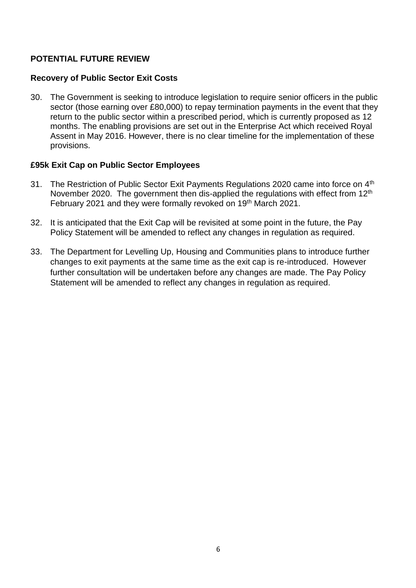#### **POTENTIAL FUTURE REVIEW**

#### **Recovery of Public Sector Exit Costs**

30. The Government is seeking to introduce legislation to require senior officers in the public sector (those earning over £80,000) to repay termination payments in the event that they return to the public sector within a prescribed period, which is currently proposed as 12 months. The enabling provisions are set out in the Enterprise Act which received Royal Assent in May 2016. However, there is no clear timeline for the implementation of these provisions.

#### **£95k Exit Cap on Public Sector Employees**

- 31. The Restriction of Public Sector Exit Payments Regulations 2020 came into force on 4th November 2020. The government then dis-applied the regulations with effect from 12<sup>th</sup> February 2021 and they were formally revoked on 19<sup>th</sup> March 2021.
- 32. It is anticipated that the Exit Cap will be revisited at some point in the future, the Pay Policy Statement will be amended to reflect any changes in regulation as required.
- 33. The Department for Levelling Up, Housing and Communities plans to introduce further changes to exit payments at the same time as the exit cap is re-introduced. However further consultation will be undertaken before any changes are made. The Pay Policy Statement will be amended to reflect any changes in regulation as required.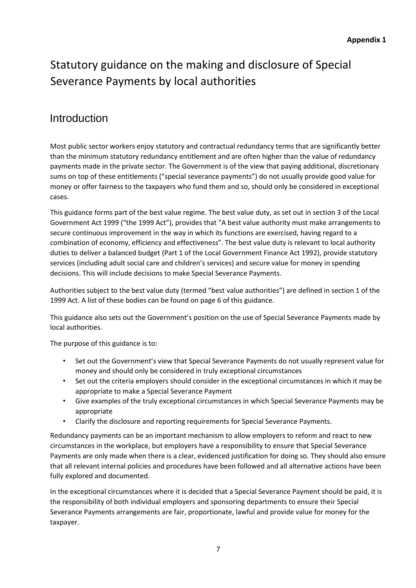# Statutory guidance on the making and disclosure of Special Severance Payments by local authorities

## Introduction

Most public sector workers enjoy statutory and contractual redundancy terms that are significantly better than the minimum statutory redundancy entitlement and are often higher than the value of redundancy payments made in the private sector. The Government is of the view that paying additional, discretionary sums on top of these entitlements ("special severance payments") do not usually provide good value for money or offer fairness to the taxpayers who fund them and so, should only be considered in exceptional cases.

This guidance forms part of the best value regime. The best value duty, as set out in section 3 of the Local Government Act 1999 ("the 1999 Act"), provides that "A best value authority must make arrangements to secure continuous improvement in the way in which its functions are exercised, having regard to a combination of economy, efficiency and effectiveness". The best value duty is relevant to local authority duties to deliver a balanced budget (Part 1 of the Local Government Finance Act 1992), provide statutory services (including adult social care and children's services) and secure value for money in spending decisions. This will include decisions to make Special Severance Payments.

Authorities subject to the best value duty (termed "best value authorities") are defined in section 1 of the 1999 Act. A list of these bodies can be found on page 6 of this guidance.

This guidance also sets out the Government's position on the use of Special Severance Payments made by local authorities.

The purpose of this guidance is to:

- Set out the Government's view that Special Severance Payments do not usually represent value for money and should only be considered in truly exceptional circumstances
- Set out the criteria employers should consider in the exceptional circumstances in which it may be appropriate to make a Special Severance Payment
- Give examples of the truly exceptional circumstances in which Special Severance Payments may be appropriate
- Clarify the disclosure and reporting requirements for Special Severance Payments.

Redundancy payments can be an important mechanism to allow employers to reform and react to new circumstances in the workplace, but employers have a responsibility to ensure that Special Severance Payments are only made when there is a clear, evidenced justification for doing so. They should also ensure that all relevant internal policies and procedures have been followed and all alternative actions have been fully explored and documented.

In the exceptional circumstances where it is decided that a Special Severance Payment should be paid, it is the responsibility of both individual employers and sponsoring departments to ensure their Special Severance Payments arrangements are fair, proportionate, lawful and provide value for money for the taxpayer.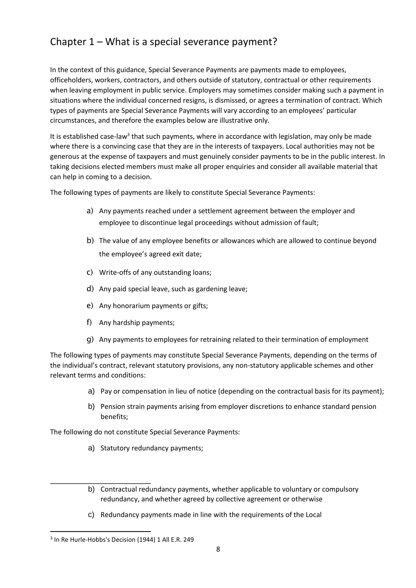## Chapter 1 – What is a special severance payment?

In the context of this guidance, Special Severance Payments are payments made to employees, officeholders, workers, contractors, and others outside of statutory, contractual or other requirements when leaving employment in public service. Employers may sometimes consider making such a payment in situations where the individual concerned resigns, is dismissed, or agrees a termination of contract. Which types of payments are Special Severance Payments will vary according to an employees' particular circumstances, and therefore the examples below are illustrative only.

It is established case-law<sup>3</sup> that such payments, where in accordance with legislation, may only be made where there is a convincing case that they are in the interests of taxpayers. Local authorities may not be generous at the expense of taxpayers and must genuinely consider payments to be in the public interest. In taking decisions elected members must make all proper enquiries and consider all available material that can help in coming to a decision.

The following types of payments are likely to constitute Special Severance Payments:

- a) Any payments reached under a settlement agreement between the employer and employee to discontinue legal proceedings without admission of fault;
- b) The value of any employee benefits or allowances which are allowed to continue beyond the employee's agreed exit date;
- c) Write-offs of any outstanding loans;
- d) Any paid special leave, such as gardening leave;
- e) Any honorarium payments or gifts;
- f) Any hardship payments;
- g) Any payments to employees for retraining related to their termination of employment

The following types of payments may constitute Special Severance Payments, depending on the terms of the individual's contract, relevant statutory provisions, any non-statutory applicable schemes and other relevant terms and conditions:

- a) Pay or compensation in lieu of notice (depending on the contractual basis for its payment);
- b) Pension strain payments arising from employer discretions to enhance standard pension benefits;

The following do not constitute Special Severance Payments:

- a) Statutory redundancy payments;
- b) Contractual redundancy payments, whether applicable to voluntary or compulsory redundancy, and whether agreed by collective agreement or otherwise
- c) Redundancy payments made in line with the requirements of the Local

1

<sup>&</sup>lt;sup>3</sup> In Re Hurle-Hobbs's Decision (1944) 1 All E.R. 249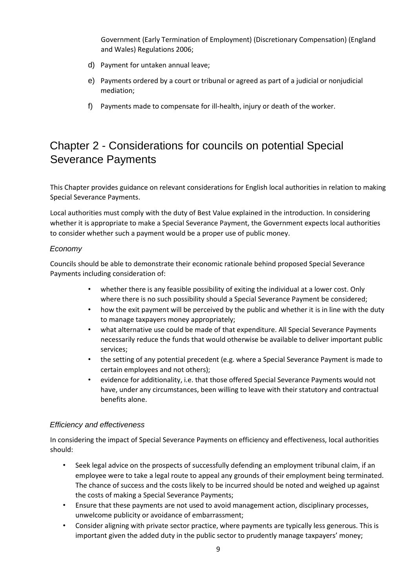Government (Early Termination of Employment) (Discretionary Compensation) (England and Wales) Regulations 2006;

- d) Payment for untaken annual leave;
- e) Payments ordered by a court or tribunal or agreed as part of a judicial or nonjudicial mediation;
- f) Payments made to compensate for ill-health, injury or death of the worker.

# Chapter 2 - Considerations for councils on potential Special Severance Payments

This Chapter provides guidance on relevant considerations for English local authorities in relation to making Special Severance Payments.

Local authorities must comply with the duty of Best Value explained in the introduction. In considering whether it is appropriate to make a Special Severance Payment, the Government expects local authorities to consider whether such a payment would be a proper use of public money.

#### *Economy*

Councils should be able to demonstrate their economic rationale behind proposed Special Severance Payments including consideration of:

- whether there is any feasible possibility of exiting the individual at a lower cost. Only where there is no such possibility should a Special Severance Payment be considered;
- how the exit payment will be perceived by the public and whether it is in line with the duty to manage taxpayers money appropriately;
- what alternative use could be made of that expenditure. All Special Severance Payments necessarily reduce the funds that would otherwise be available to deliver important public services;
- the setting of any potential precedent (e.g. where a Special Severance Payment is made to certain employees and not others);
- evidence for additionality, i.e. that those offered Special Severance Payments would not have, under any circumstances, been willing to leave with their statutory and contractual benefits alone.

#### *Efficiency and effectiveness*

In considering the impact of Special Severance Payments on efficiency and effectiveness, local authorities should:

- Seek legal advice on the prospects of successfully defending an employment tribunal claim, if an employee were to take a legal route to appeal any grounds of their employment being terminated. The chance of success and the costs likely to be incurred should be noted and weighed up against the costs of making a Special Severance Payments;
- Ensure that these payments are not used to avoid management action, disciplinary processes, unwelcome publicity or avoidance of embarrassment;
- Consider aligning with private sector practice, where payments are typically less generous. This is important given the added duty in the public sector to prudently manage taxpayers' money;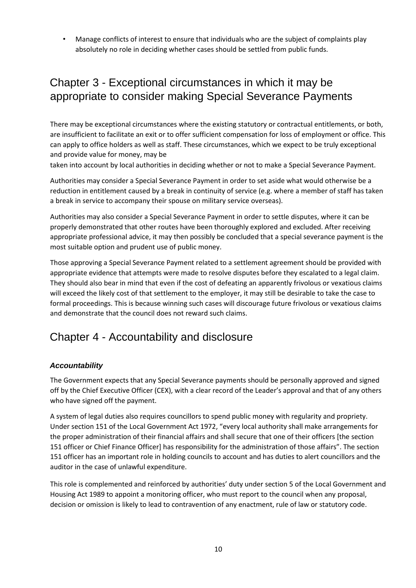• Manage conflicts of interest to ensure that individuals who are the subject of complaints play absolutely no role in deciding whether cases should be settled from public funds.

# Chapter 3 - Exceptional circumstances in which it may be appropriate to consider making Special Severance Payments

There may be exceptional circumstances where the existing statutory or contractual entitlements, or both, are insufficient to facilitate an exit or to offer sufficient compensation for loss of employment or office. This can apply to office holders as well as staff. These circumstances, which we expect to be truly exceptional and provide value for money, may be

taken into account by local authorities in deciding whether or not to make a Special Severance Payment.

Authorities may consider a Special Severance Payment in order to set aside what would otherwise be a reduction in entitlement caused by a break in continuity of service (e.g. where a member of staff has taken a break in service to accompany their spouse on military service overseas).

Authorities may also consider a Special Severance Payment in order to settle disputes, where it can be properly demonstrated that other routes have been thoroughly explored and excluded. After receiving appropriate professional advice, it may then possibly be concluded that a special severance payment is the most suitable option and prudent use of public money.

Those approving a Special Severance Payment related to a settlement agreement should be provided with appropriate evidence that attempts were made to resolve disputes before they escalated to a legal claim. They should also bear in mind that even if the cost of defeating an apparently frivolous or vexatious claims will exceed the likely cost of that settlement to the employer, it may still be desirable to take the case to formal proceedings. This is because winning such cases will discourage future frivolous or vexatious claims and demonstrate that the council does not reward such claims.

# Chapter 4 - Accountability and disclosure

#### *Accountability*

The Government expects that any Special Severance payments should be personally approved and signed off by the Chief Executive Officer (CEX), with a clear record of the Leader's approval and that of any others who have signed off the payment.

A system of legal duties also requires councillors to spend public money with regularity and propriety. Under section 151 of the Local Government Act 1972, "every local authority shall make arrangements for the proper administration of their financial affairs and shall secure that one of their officers [the section 151 officer or Chief Finance Officer] has responsibility for the administration of those affairs". The section 151 officer has an important role in holding councils to account and has duties to alert councillors and the auditor in the case of unlawful expenditure.

This role is complemented and reinforced by authorities' duty under section 5 of the Local Government and Housing Act 1989 to appoint a monitoring officer, who must report to the council when any proposal, decision or omission is likely to lead to contravention of any enactment, rule of law or statutory code.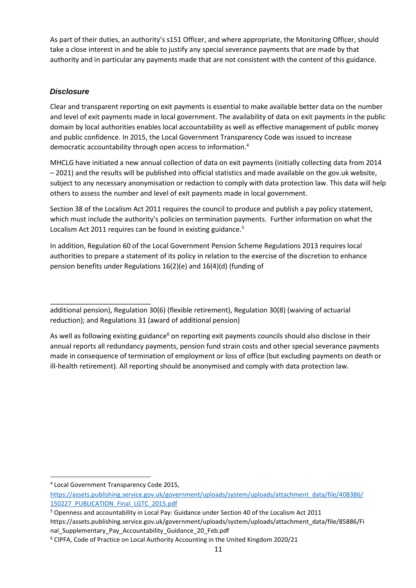As part of their duties, an authority's s151 Officer, and where appropriate, the Monitoring Officer, should take a close interest in and be able to justify any special severance payments that are made by that authority and in particular any payments made that are not consistent with the content of this guidance.

#### *Disclosure*

Clear and transparent reporting on exit payments is essential to make available better data on the number and level of exit payments made in local government. The availability of data on exit payments in the public domain by local authorities enables local accountability as well as effective management of public money and public confidence. In 2015, the Local Government Transparency Code was issued to increase democratic accountability through open access to information.<sup>4</sup>

MHCLG have initiated a new annual collection of data on exit payments (initially collecting data from 2014 – 2021) and the results will be published into official statistics and made available on the gov.uk website, subject to any necessary anonymisation or redaction to comply with data protection law. This data will help others to assess the number and level of exit payments made in local government.

Section 38 of the Localism Act 2011 requires the council to produce and publish a pay policy statement, which must include the authority's policies on termination payments. Further information on what the Localism Act 2011 requires can be found in existing guidance.<sup>5</sup>

In addition, Regulation 60 of the Local Government Pension Scheme Regulations 2013 requires local authorities to prepare a statement of its policy in relation to the exercise of the discretion to enhance pension benefits under Regulations 16(2)(e) and 16(4)(d) (funding of

**.** 

additional pension), Regulation 30(6) (flexible retirement), Regulation 30(8) (waiving of actuarial reduction); and Regulations 31 (award of additional pension)

As well as following existing guidance<sup>6</sup> on reporting exit payments councils should also disclose in their annual reports all redundancy payments, pension fund strain costs and other special severance payments made in consequence of termination of employment or loss of office (but excluding payments on death or ill-health retirement). All reporting should be anonymised and comply with data protection law.

<sup>4</sup> Local Government Transparency Code 2015,

[https://assets.publishing.service.gov.uk/government/uploads/system/uploads/attachment\\_data/file/408386/](https://assets.publishing.service.gov.uk/government/uploads/system/uploads/attachment_data/file/408386/150227_PUBLICATION_Final_LGTC_2015.pdf) [150227\\_PUBLICATION\\_Final\\_LGTC\\_2015.pdf](https://assets.publishing.service.gov.uk/government/uploads/system/uploads/attachment_data/file/408386/150227_PUBLICATION_Final_LGTC_2015.pdf)

<sup>5</sup> Openness and accountability in Local Pay: Guidance under Section 40 of the Localism Act 2011 https://assets.publishing.service.gov.uk/government/uploads/system/uploads/attachment\_data/file/85886/Fi nal Supplementary Pay Accountability Guidance 20 Feb.pdf

<sup>6</sup> CIPFA, Code of Practice on Local Authority Accounting in the United Kingdom 2020/21